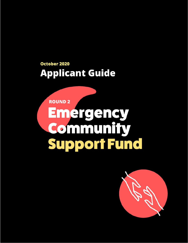# **October 2020 Applicant Guide**

# **ROUND 2** Emergency **Community Support Fund**

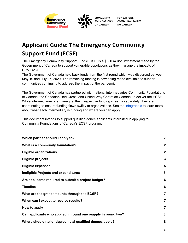

# **Applicant Guide: The Emergency Community Support Fund (ECSF)**

The Emergency Community Support Fund (ECSF) is a \$350 million investment made by the Government of Canada to support vulnerable populations as they manage the impacts of COVID-19.

The Government of Canada held back funds from the first round which was disbursed between May 19 and July 27, 2020. The remaining funding is now being made available to support communities continuing to address the impact of the pandemic.

The Government of Canada has partnered with national intermediaries,Community Foundations of Canada, the Canadian Red Cross, and United Way Centraide Canada, to deliver the ECSF. While intermediaries are managing their respective funding streams separately, they are coordinating to ensure funding flows swiftly to organizations. See the [infographic](https://communityfoundations.ca/wp-content/uploads/2019/04/Round-2-_-Who-Should-Apply-Where-CRC-CFC-UWCC.pdf) to learn more about what each intermediary is funding and where you can apply.

This document intends to support qualified donee applicants interested in applying to Community Foundations of Canada's ECSF program.

| Which partner should I apply to?                              | $\mathbf{2}$   |
|---------------------------------------------------------------|----------------|
| What is a community foundation?                               | $\mathbf{2}$   |
| <b>Eligible organizations</b>                                 | $\mathbf{2}$   |
| <b>Eligible projects</b>                                      | 3              |
| <b>Eligible expenses</b>                                      | 5              |
| Ineligible Projects and expenditures                          | 5              |
| Are applicants required to submit a project budget?           | 6              |
| <b>Timeline</b>                                               | 6              |
| What are the grant amounts through the ECSF?                  | $\overline{7}$ |
| When can I expect to receive results?                         | $\overline{7}$ |
| How to apply                                                  | $\overline{7}$ |
| Can applicants who applied in round one reapply in round two? | 8              |
| Where should national/provincial qualified donees apply?      | 8              |
|                                                               |                |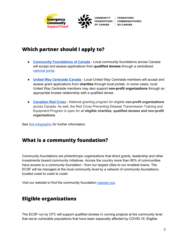

# <span id="page-2-0"></span>**Which partner should I apply to?**

- **Community [Foundations](https://communityfoundations.ca/initiatives/emergency-community-support-fund/) of Canada** Local community foundations across Canada will accept and assess applications from **qualified donees** through a centralized [national](https://cfc-fcc.smapply.ca/prog/ECSF) portal.
- **United Way [Centraide](https://www.unitedway.ca/blog/ecsf/) Canada** Local United Way Centraide members will accept and assess grant applications from **charities** through local portals. In some cases, local United Way Centraide members may also support **non-profit organizations** through an appropriate trustee relationship with a qualified donee.
- **[Canadian](https://www.redcross.ca/how-we-help/current-emergency-responses/covid-19-%E2%80%93-novel-coronavirus/information-for-community-organizations-affected-by-covid-19) Red Cross** National granting program for eligible **non-profit organizations** across Canada. As well, the Red Cross Preventing Disease Transmission Training and Equipment Program is open for all **eligible charities, qualified donees and non-profit organizations**.

See this [infographic](https://communityfoundations.ca/wp-content/uploads/2019/04/Round-2-_-Who-Should-Apply-Where-CRC-CFC-UWCC.pdf) for further information.

# <span id="page-2-1"></span>**What is a community foundation?**

Community foundations are philanthropic organizations that direct grants, leadership and other investments toward community initiatives. Across the country more than 90% of communities have access to a community foundation - from our largest cities to our smallest towns. The ECSF will be managed at the local community level by a network of community foundations, located coast to coast to coast.

Visit our website to find the community foundation [nearest](https://www.communityfoundations.ca/find-a-community-foundation/) you.

# <span id="page-2-2"></span>**Eligible organizations**

The ECSF run by CFC will support qualified donees in running projects at the community level that serve vulnerable populations that have been especially affected by COVID-19. Eligible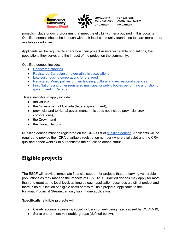



projects include ongoing programs that meet the eligibility criteria outlined in this document. Qualified donees should be in touch with their local community foundation to learn more about available grant sizes.

Applicants will be required to share how their project assists vulnerable populations, the populations they serve, and the impact of the project on the community.

Qualified donees include:

- [Registered](https://apps.cra-arc.gc.ca/ebci/hacc/srch/pub/dsplyBscSrch?request_locale=en) charities
- Registered Canadian amateur athletic [associations](https://www.canada.ca/en/revenue-agency/services/charities-giving/other-organizations-that-issue-donation-receipts-qualified-donees/other-qualified-donees-listings/list-registered-canadian-amateur-athletic-associations.html)
- Low-cost housing [corporations](https://www.canada.ca/en/revenue-agency/services/charities-giving/other-organizations-that-issue-donation-receipts-qualified-donees/other-qualified-donees-listings/list-low-cost-housing-corporations-aged-registered-qualified-donees.html) for the aged
- Registered [Municipalities](https://www.canada.ca/en/revenue-agency/services/charities-giving/other-organizations-that-issue-donation-receipts-qualified-donees/other-qualified-donees-listings/municipalities.html) or their housing, cultural and recreational agencies
- First Nations and other registered municipal or public bodies [performing](https://www.canada.ca/en/revenue-agency/services/charities-giving/other-organizations-that-issue-donation-receipts-qualified-donees/other-qualified-donees-listings/list-municipal-public-bodies-performing-a-function-government-canada-registered-qualified-donees.html) a function of [government](https://www.canada.ca/en/revenue-agency/services/charities-giving/other-organizations-that-issue-donation-receipts-qualified-donees/other-qualified-donees-listings/list-municipal-public-bodies-performing-a-function-government-canada-registered-qualified-donees.html) in Canada

Those ineligible to apply include:

- Individuals
- the Government of Canada (federal government);
- provincial and territorial governments (this does not include provincial crown corporations);
- the Crown; and
- the United Nations.

Qualified donees must be registered on the CRA's list of [qualified](https://www.canada.ca/en/revenue-agency/services/charities-giving/charities/policies-guidance/qualified-donees.html) donees. Applicants will be required to provide their CRA charitable registration number (where available) and the CRA qualified donee weblink to authenticate their qualified donee status.

# <span id="page-3-0"></span>**Eligible projects**

The ESCF will provide immediate financial support for projects that are serving vulnerable populations as they manage the impacts of COVID-19. Qualified donees may apply for more than one grant at the local level, as long as each application describes a distinct project and there is no duplication of eligible costs across multiple projects. Applicants to the National/Provincial Stream can only submit one application.

#### **Specifically, eligible projects will:**

- Clearly address a pressing social inclusion or well-being need caused by COVID-19;
- Serve one or more vulnerable groups (defined below);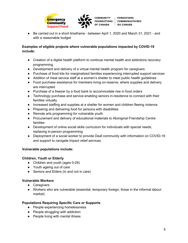



● Be carried out in a short timeframe - between April 1, 2020 and March 31, 2021 - and with a reasonable budget

#### **Examples of eligible projects where vulnerable populations impacted by COVID-19 include:**

- Creation of a digital health platform to continue mental health and addictions recovery programming
- Development and delivery of a virtual mental health program for caregivers
- Purchase of food kits for marginalized families experiencing interrupted support services
- Addition of meal service staff at a women's shelter to meet public health guidelines
- Food purchase assistance for members living on-reserve, where supplies and delivery are interrupted
- Purchase of a freezer by a food bank to accommodate rise in food orders
- Technology purchase and service enabling seniors in-residence to connect with their families virtually
- Increased staffing and supplies at a shelter for women and children fleeing violence
- Preparing and delivering food for persons with disabilities
- Remote arts programming for vulnerable youth
- Procurement and delivery of educational materials to Aboriginal Friendship Centre families
- Development of online social skills curriculum for individuals with special needs, replacing in-person programming
- Deployment of a social worker to provide Deaf community with information on COVID-19 and support to navigate impact relief services

#### **Vulnerable populations include:**

#### **Children, Youth or Elderly**

- Children and youth (ages 0-29)
- Youth ageing out of care
- Seniors and Elders (in and not in care)

#### **Vulnerable Workers**

- Caregivers
- Workers who are vulnerable (essential, temporary foreign, those in the informal labour market)

#### **Populations Requiring Specific Care or Supports**

- People experiencing homelessness
- People struggling with addiction
- People living with mental illness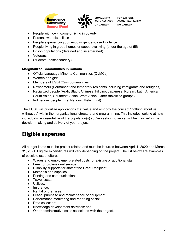



- People with low-income or living in poverty
- Persons with disabilities
- People experiencing domestic or gender-based violence
- People living in group homes or supportive living (under the age of 55)
- Prison populations (detained and incarcerated)
- Veterans
- Students (postsecondary)

#### **Marginalized Communities in Canada**

- Official Language Minority Communities (OLMCs)
- Women and girls
- Members of LGBTQ2s+ communities
- Newcomers (Permanent and temporary residents including immigrants and refugees)
- Racialized people (Arab, Black, Chinese, Filipino, Japanese, Korean, Latin American, South Asian, Southeast Asian, West Asian, Other racialized groups)
- Indigenous people (First Nations, Métis, Inuit)

The ECSF will prioritize applications that value and embody the concept "nothing about us, without us" within their organizational structure and programming. This includes looking at how individuals representative of the population(s) you're seeking to serve, will be involved in the decision making and delivery of your project.

### <span id="page-5-0"></span>**Eligible expenses**

All budget items must be project-related and must be incurred between April 1, 2020 and March 31, 2021. Eligible expenditures will vary depending on the project. The list below are examples of possible expenditures.

- Wages and employment-related costs for existing or additional staff;
- Fees for professional service:
- Disability supports for staff of the Grant Recipient;
- Materials and supplies;
- Printing and communication;
- Travel costs;
- Utilities;
- Insurance;
- Rental of premises;
- Lease, purchase and maintenance of equipment;
- Performance monitoring and reporting costs;
- Data collection;
- Knowledge development activities; and
- Other administrative costs associated with the project.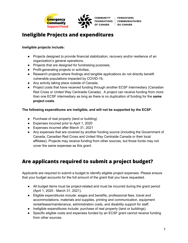



# <span id="page-6-0"></span>**Ineligible Projects and expenditures**

#### **Ineligible projects include:**

- Projects designed to provide financial stabilization, recovery and/or resilience of an organization's general operations,
- Projects that are designed for fundraising purposes,
- Profit-generating projects or activities,
- Research projects where findings and tangible applications do not directly benefit vulnerable populations impacted by COVID-19,
- Any activity taking place outside of Canada,
- Project costs that have received funding through another ECSF intermediary (Canadian Red Cross or United Way Centraide Canada). A project can receive funding from more than one ECSF intermediary as long as there is no duplication of funding for the **same project costs**.

#### **The following expenditures are ineligible, and will not be supported by the ECSF:**

- Purchase of real property (land or building)
- Expenses incurred prior to April 1, 2020
- Expenses incurred after March 31, 2021
- Any expenses that are covered by another funding source (including the Government of Canada, Canadian Red Cross and United Way Centraide Canada or their local affiliates). Projects may receive funding from other sources, but those funds may not cover the same expenses as this grant.

# <span id="page-6-1"></span>**Are applicants required to submit a project budget?**

Applicants are required to submit a budget to identify eligible project expenses. Please ensure that your budget accounts for the full amount of the grant that you have requested.

- All budget items must be project-related and must be incurred during the grant period (April 1, 2020 - March 31, 2021).
- Eligible expenditures include: wages and benefits, professional fees, travel and accommodations, materials and supplies, printing and communication, equipment rental/lease/maintenance, administration costs, and disability support for staff.
- Ineligible expenditures include: purchase of real property (land or buildings).
- Specific eligible costs and expenses funded by an ECSF grant cannot receive funding from other sources.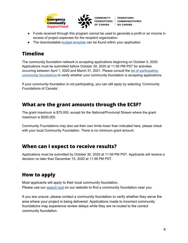



- Funds received through this program cannot be used to generate a profit or an income in excess of project expenses for the recipient organization.
- The downloadable budget [template](https://communityfoundations.ca/wp-content/uploads/2019/04/ECSF-Round-2-Budget-Template.xlsx) can be found within your application

# <span id="page-7-0"></span>**Timeline**

The community foundation network is accepting applications beginning on October 5, 2020. Applications must be submitted before October 30, 2020 at 11:59 PM PST for activities occurring between April 1, 2020 and March 31, 2021. Please consult the list of [participating](https://www.communityfoundations.ca/covid-19-community-foundations-participating-in-the-ecsf/) community [foundations](https://www.communityfoundations.ca/covid-19-community-foundations-participating-in-the-ecsf/) to verify whether your community foundation is accepting applications.

If your community foundation is not participating, you can still apply by selecting 'Community Foundations of Canada'.

# <span id="page-7-1"></span>**What are the grant amounts through the ECSF?**

The grant maximum is \$75,000, except for the National/Provincial Stream where the grant maximum is \$200,000.

Community Foundations may also set their own limits lower than indicated here, please check with your local Community Foundation. There is no minimum grant amount.

### <span id="page-7-2"></span>**When can I expect to receive results?**

Applications must be submitted by October 30, 2020 at 11:59 PM PST. Applicants will receive a decision no later than December 15, 2020 at 11:59 PM PST.

# <span id="page-7-3"></span>**How to apply**

Most applicants will apply to their local community foundation. Please use our [search](https://communityfoundations.ca/?p=25204) tool on our website to find a community foundation near you.

If you are unsure, please contact a community foundation to verify whether they serve the area where your project is being delivered. Applications made to incorrect community foundations may experience review delays while they are re-routed to the correct community foundation.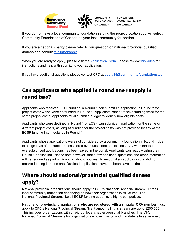



If you do not have a local community foundation serving the project location you will select Community Foundations of Canada as your local community foundation.

If you are a national charity please refer to our question on national/provincial qualified donees and consult this [infographic](https://communityfoundations.ca/wp-content/uploads/2019/04/ECSF-NationalProvincial-WhereToApply.png).

When you are ready to apply, please visit the [Application](https://cfc-fcc.smapply.ca/prog/ECSF) Portal. Please review this [video](https://www.youtube.com/watch?v=kHwNF4Mw0Uk) for instructions and help with submitting your application.

If you have additional questions please contact CFC at **[covid19@communityfoundations.ca](mailto:covid19@communityfoudnations.ca)**.

# <span id="page-8-0"></span>**Can applicants who applied in round one reapply in round two?**

Applicants who received ECSF funding in Round 1 can submit an application in Round 2 for project costs which were not funded in Round 1. Applicants cannot receive funding twice for the same project costs. Applicants must submit a budget to identify new eligible costs.

Applicants who were declined in Round 1 of ECSF can submit an application for the same or different project costs, as long as funding for the project costs was not provided by any of the ECSF funding intermediaries in Round 1.

Applicants whose applications were not considered by a community foundation in Round 1 due to a high level of demand are considered oversubscribed applications. Any work started on oversubscribed applications has been saved in the portal. Applicants can reapply using their Round 1 application. Please note however, that a few additional questions and other information will be required as part of Round 2, should you wish to resubmit an application that did not receive funding in round one. Declined applications have not been saved in the portal.

# <span id="page-8-1"></span>**Where should national/provincial qualified donees apply?**

National/provincial organizations should apply to CFC's National/Provincial stream OR their local community foundation depending on how their organization is structured. The National/Provincial Stream, like all ECSF funding streams, is highly competitive.

**National or provincial organizations who are registered with a singular CRA number** must apply to CFC's National/Provincial Stream. Grant amounts in this stream are up to \$200,000. This includes organizations with or without local chapters/regional branches. The CFC National/Provincial Stream is for organizations whose mission and mandate is to serve one or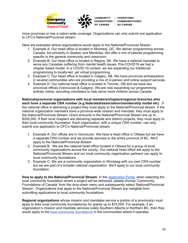

more provinces or has a nation-wide coverage. Organizations can only submit one application to CFC's National/Provincial stream.

Here are examples where organizations would apply to the National/Provincial Stream:

- 1. Example A: Our head office is located in Montreal, QC. We deliver programming across Canada, but primarily in Quebec and Manitoba. We offer a mix of tailored programming specific to the general community and classroom.
- 2. Example B: Our head office is located in Regina, SK. We have a national mandate to serve any Canadian suffering from mental health issues. Pre-COVID19 we had a chapter based model. In a COVID-19 context, we are expanding our traditional programming to locally-led, yet virtual programming.
- 3. Example C: Our head office is located in Calgary, AB. We have provincial ambassadors in several communities who are providing a mix of in-person and online support services.
- 4. Example D: Our national head office is located in Toronto, ON and we have two provincial offices (Vancouver & Calgary). We are now expanding our programming entirely online, recruiting volunteers to help serve more children across Canada.

**National/provincial organizations with local members/chapters/regional branches who each have a separate CRA number (e.g federated/association/membership model etc)**. If the national office is delivering a project they must apply to the National/Provincial stream. If the national organization members have a province-wide mission and mandate, they must apply to the National/Provincial Stream. Grant amounts in the National/Provincial Stream are up to \$200,000. If their local chapters are delivering separate and distinct projects, they must apply to their local community foundation. Each organization, with a unique CRA number, can only submit one application to CFC's National/Provincial stream.

- 1. Example A: Our offices are in Vancouver. We have a head office in Ottawa but we have a separate CRA number and we provide services to the entire province of BC. We'll apply to the National/Provincial Stream
- 2. Example B: We are the national head office located in Ottawa for a group of local community organizations across the county. Our national head office will apply to the National/Provincial Stream and our local community organization partners can apply to local community foundations..
- 3. Example C: We are a community organization in Winnipeg with our own CRA number but we are part of a broader national organization. We'll apply to our local community foundation.

**How to apply to the National/Provincial Stream:** In the [Application](https://cfc-fcc.smapply.ca/prog/ECSF) Portal, when selecting the local community foundation where a project will be delivered, please choose 'Community Foundations of Canada' from the drop-down menu and subsequently select 'National/Provincial Stream'. Organizations that apply to the National/Provincial Stream are ineligible from submitting applications to local community foundations.

**Regional organizations** whose mission and mandates service a portion of a province(s) must apply to their local community foundation(s) for grants up to \$75,000. For example, if an organization's mission and mandate services solely Southern Alberta or Northern BC, then they would apply to the local community [foundations](https://www.communityfoundations.ca/find-a-community-foundation/) in the communities where it operates.